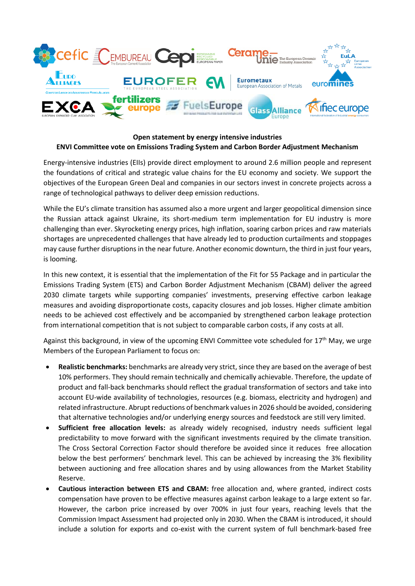

## **Open statement by energy intensive industries ENVI Committee vote on Emissions Trading System and Carbon Border Adjustment Mechanism**

Energy-intensive industries (EIIs) provide direct employment to around 2.6 million people and represent the foundations of critical and strategic value chains for the EU economy and society. We support the objectives of the European Green Deal and companies in our sectors invest in concrete projects across a range of technological pathways to deliver deep emission reductions.

While the EU's climate transition has assumed also a more urgent and larger geopolitical dimension since the Russian attack against Ukraine, its short-medium term implementation for EU industry is more challenging than ever. Skyrocketing energy prices, high inflation, soaring carbon prices and raw materials shortages are unprecedented challenges that have already led to production curtailments and stoppages may cause further disruptions in the near future. Another economic downturn, the third in just four years, is looming.

In this new context, it is essential that the implementation of the Fit for 55 Package and in particular the Emissions Trading System (ETS) and Carbon Border Adjustment Mechanism (CBAM) deliver the agreed 2030 climate targets while supporting companies' investments, preserving effective carbon leakage measures and avoiding disproportionate costs, capacity closures and job losses. Higher climate ambition needs to be achieved cost effectively and be accompanied by strengthened carbon leakage protection from international competition that is not subject to comparable carbon costs, if any costs at all.

Against this background, in view of the upcoming ENVI Committee vote scheduled for 17<sup>th</sup> May, we urge Members of the European Parliament to focus on:

- **Realistic benchmarks:** benchmarks are already very strict, since they are based on the average of best 10% performers. They should remain technically and chemically achievable. Therefore, the update of product and fall-back benchmarks should reflect the gradual transformation of sectors and take into account EU-wide availability of technologies, resources (e.g. biomass, electricity and hydrogen) and related infrastructure. Abrupt reductions of benchmark values in 2026 should be avoided, considering that alternative technologies and/or underlying energy sources and feedstock are still very limited.
- **Sufficient free allocation levels:** as already widely recognised, industry needs sufficient legal predictability to move forward with the significant investments required by the climate transition. The Cross Sectoral Correction Factor should therefore be avoided since it reduces free allocation below the best performers' benchmark level. This can be achieved by increasing the 3% flexibility between auctioning and free allocation shares and by using allowances from the Market Stability Reserve.
- **Cautious interaction between ETS and CBAM:** free allocation and, where granted, indirect costs compensation have proven to be effective measures against carbon leakage to a large extent so far. However, the carbon price increased by over 700% in just four years, reaching levels that the Commission Impact Assessment had projected only in 2030. When the CBAM is introduced, it should include a solution for exports and co-exist with the current system of full benchmark-based free